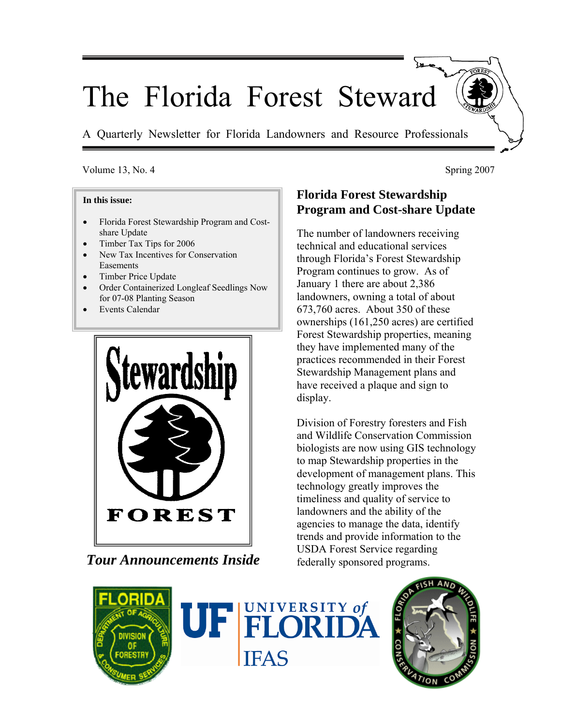# The Florida Forest Steward

A Quarterly Newsletter for Florida Landowners and Resource Professionals

### Volume 13, No. 4 Spring 2007

#### **In this issue:**

- Florida Forest Stewardship Program and Costshare Update
- Timber Tax Tips for 2006
- New Tax Incentives for Conservation Easements
- Timber Price Update
- Order Containerized Longleaf Seedlings Now for 07-08 Planting Season
- Events Calendar



*Tour Announcements Inside* 

# **Florida Forest Stewardship Program and Cost-share Update**

The number of landowners receiving technical and educational services through Florida's Forest Stewardship Program continues to grow. As of January 1 there are about 2,386 landowners, owning a total of about 673,760 acres. About 350 of these ownerships (161,250 acres) are certified Forest Stewardship properties, meaning they have implemented many of the practices recommended in their Forest Stewardship Management plans and have received a plaque and sign to display.

Division of Forestry foresters and Fish and Wildlife Conservation Commission biologists are now using GIS technology to map Stewardship properties in the development of management plans. This technology greatly improves the timeliness and quality of service to landowners and the ability of the agencies to manage the data, identify trends and provide information to the USDA Forest Service regarding federally sponsored programs.





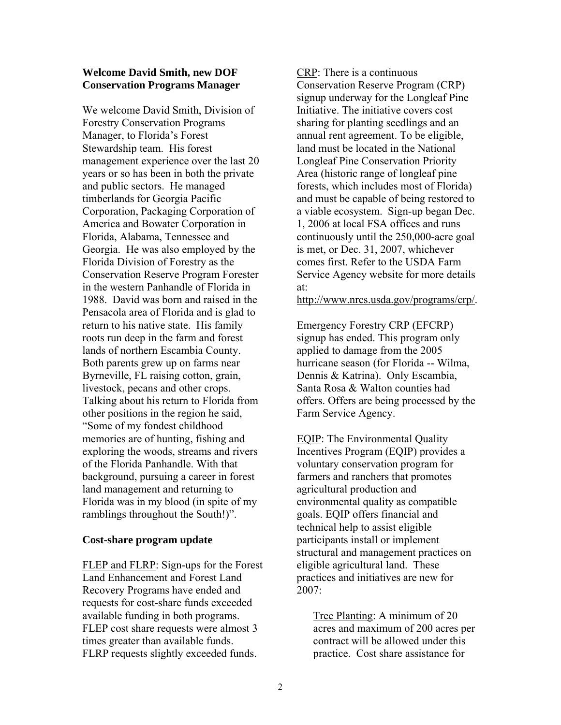#### **Welcome David Smith, new DOF Conservation Programs Manager**

We welcome David Smith, Division of Forestry Conservation Programs Manager, to Florida's Forest Stewardship team. His forest management experience over the last 20 years or so has been in both the private and public sectors. He managed timberlands for Georgia Pacific Corporation, Packaging Corporation of America and Bowater Corporation in Florida, Alabama, Tennessee and Georgia. He was also employed by the Florida Division of Forestry as the Conservation Reserve Program Forester in the western Panhandle of Florida in 1988. David was born and raised in the Pensacola area of Florida and is glad to return to his native state. His family roots run deep in the farm and forest lands of northern Escambia County. Both parents grew up on farms near Byrneville, FL raising cotton, grain, livestock, pecans and other crops. Talking about his return to Florida from other positions in the region he said, "Some of my fondest childhood memories are of hunting, fishing and exploring the woods, streams and rivers of the Florida Panhandle. With that background, pursuing a career in forest land management and returning to Florida was in my blood (in spite of my ramblings throughout the South!)".

#### **Cost-share program update**

FLEP and FLRP: Sign-ups for the Forest Land Enhancement and Forest Land Recovery Programs have ended and requests for cost-share funds exceeded available funding in both programs. FLEP cost share requests were almost 3 times greater than available funds. FLRP requests slightly exceeded funds.

CRP: There is a continuous Conservation Reserve Program (CRP) signup underway for the Longleaf Pine Initiative. The initiative covers cost sharing for planting seedlings and an annual rent agreement. To be eligible, land must be located in the National Longleaf Pine Conservation Priority Area (historic range of longleaf pine forests, which includes most of Florida) and must be capable of being restored to a viable ecosystem. Sign-up began Dec. 1, 2006 at local FSA offices and runs continuously until the 250,000-acre goal is met, or Dec. 31, 2007, whichever comes first. Refer to the USDA Farm Service Agency website for more details at:

http://www.nrcs.usda.gov/programs/crp/.

Emergency Forestry CRP (EFCRP) signup has ended. This program only applied to damage from the 2005 hurricane season (for Florida -- Wilma, Dennis & Katrina). Only Escambia, Santa Rosa & Walton counties had offers. Offers are being processed by the Farm Service Agency.

EQIP: The Environmental Quality Incentives Program (EQIP) provides a voluntary conservation program for farmers and ranchers that promotes agricultural production and environmental quality as compatible goals. EQIP offers financial and technical help to assist eligible participants install or implement structural and management practices on eligible agricultural land. These practices and initiatives are new for 2007:

Tree Planting: A minimum of 20 acres and maximum of 200 acres per contract will be allowed under this practice. Cost share assistance for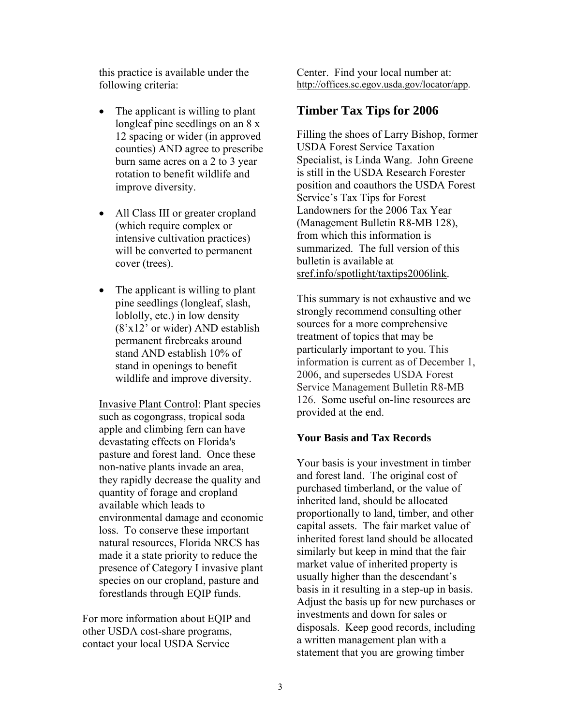this practice is available under the following criteria:

- The applicant is willing to plant longleaf pine seedlings on an 8 x 12 spacing or wider (in approved counties) AND agree to prescribe burn same acres on a 2 to 3 year rotation to benefit wildlife and improve diversity.
- All Class III or greater cropland (which require complex or intensive cultivation practices) will be converted to permanent cover (trees).
- The applicant is willing to plant pine seedlings (longleaf, slash, loblolly, etc.) in low density (8'x12' or wider) AND establish permanent firebreaks around stand AND establish 10% of stand in openings to benefit wildlife and improve diversity.

Invasive Plant Control: Plant species such as cogongrass, tropical soda apple and climbing fern can have devastating effects on Florida's pasture and forest land. Once these non-native plants invade an area, they rapidly decrease the quality and quantity of forage and cropland available which leads to environmental damage and economic loss. To conserve these important natural resources, Florida NRCS has made it a state priority to reduce the presence of Category I invasive plant species on our cropland, pasture and forestlands through EQIP funds.

For more information about EQIP and other USDA cost-share programs, contact your local USDA Service

Center. Find your local number at: http://offices.sc.egov.usda.gov/locator/app.

# **Timber Tax Tips for 2006**

Filling the shoes of Larry Bishop, former USDA Forest Service Taxation Specialist, is Linda Wang. John Greene is still in the USDA Research Forester position and coauthors the USDA Forest Service's Tax Tips for Forest Landowners for the 2006 Tax Year (Management Bulletin R8-MB 128), from which this information is summarized. The full version of this bulletin is available at sref.info/spotlight/taxtips2006link.

This summary is not exhaustive and we strongly recommend consulting other sources for a more comprehensive treatment of topics that may be particularly important to you. This information is current as of December 1, 2006, and supersedes USDA Forest Service Management Bulletin R8-MB 126. Some useful on-line resources are provided at the end.

## **Your Basis and Tax Records**

Your basis is your investment in timber and forest land. The original cost of purchased timberland, or the value of inherited land, should be allocated proportionally to land, timber, and other capital assets. The fair market value of inherited forest land should be allocated similarly but keep in mind that the fair market value of inherited property is usually higher than the descendant's basis in it resulting in a step-up in basis. Adjust the basis up for new purchases or investments and down for sales or disposals. Keep good records, including a written management plan with a statement that you are growing timber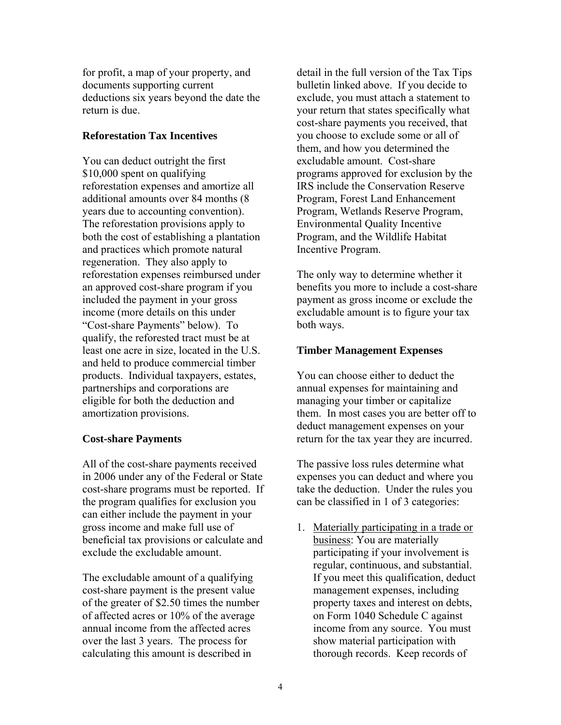for profit, a map of your property, and documents supporting current deductions six years beyond the date the return is due.

## **Reforestation Tax Incentives**

You can deduct outright the first \$10,000 spent on qualifying reforestation expenses and amortize all additional amounts over 84 months (8 years due to accounting convention). The reforestation provisions apply to both the cost of establishing a plantation and practices which promote natural regeneration. They also apply to reforestation expenses reimbursed under an approved cost-share program if you included the payment in your gross income (more details on this under "Cost-share Payments" below). To qualify, the reforested tract must be at least one acre in size, located in the U.S. and held to produce commercial timber products. Individual taxpayers, estates, partnerships and corporations are eligible for both the deduction and amortization provisions.

## **Cost-share Payments**

All of the cost-share payments received in 2006 under any of the Federal or State cost-share programs must be reported. If the program qualifies for exclusion you can either include the payment in your gross income and make full use of beneficial tax provisions or calculate and exclude the excludable amount.

The excludable amount of a qualifying cost-share payment is the present value of the greater of \$2.50 times the number of affected acres or 10% of the average annual income from the affected acres over the last 3 years. The process for calculating this amount is described in

detail in the full version of the Tax Tips bulletin linked above. If you decide to exclude, you must attach a statement to your return that states specifically what cost-share payments you received, that you choose to exclude some or all of them, and how you determined the excludable amount. Cost-share programs approved for exclusion by the IRS include the Conservation Reserve Program, Forest Land Enhancement Program, Wetlands Reserve Program, Environmental Quality Incentive Program, and the Wildlife Habitat Incentive Program.

The only way to determine whether it benefits you more to include a cost-share payment as gross income or exclude the excludable amount is to figure your tax both ways.

## **Timber Management Expenses**

You can choose either to deduct the annual expenses for maintaining and managing your timber or capitalize them. In most cases you are better off to deduct management expenses on your return for the tax year they are incurred.

The passive loss rules determine what expenses you can deduct and where you take the deduction. Under the rules you can be classified in 1 of 3 categories:

1. Materially participating in a trade or business: You are materially participating if your involvement is regular, continuous, and substantial. If you meet this qualification, deduct management expenses, including property taxes and interest on debts, on Form 1040 Schedule C against income from any source. You must show material participation with thorough records. Keep records of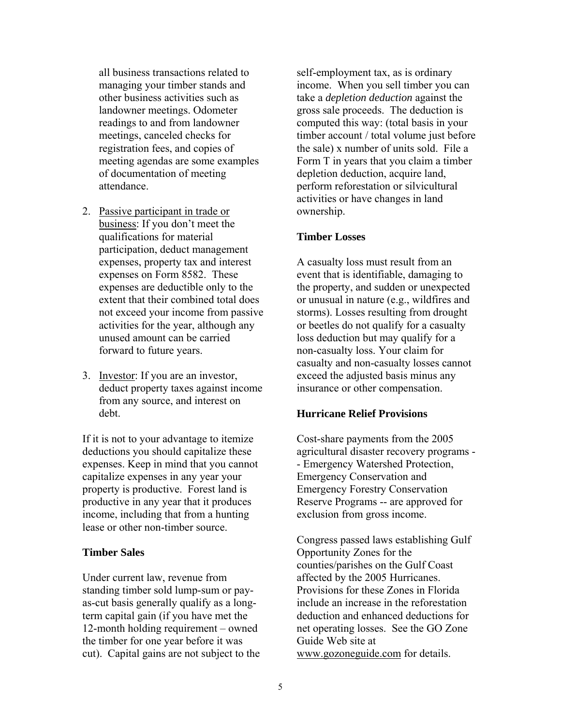all business transactions related to managing your timber stands and other business activities such as landowner meetings. Odometer readings to and from landowner meetings, canceled checks for registration fees, and copies of meeting agendas are some examples of documentation of meeting attendance.

- 2. Passive participant in trade or business: If you don't meet the qualifications for material participation, deduct management expenses, property tax and interest expenses on Form 8582. These expenses are deductible only to the extent that their combined total does not exceed your income from passive activities for the year, although any unused amount can be carried forward to future years.
- 3. Investor: If you are an investor, deduct property taxes against income from any source, and interest on debt.

If it is not to your advantage to itemize deductions you should capitalize these expenses. Keep in mind that you cannot capitalize expenses in any year your property is productive. Forest land is productive in any year that it produces income, including that from a hunting lease or other non-timber source.

#### **Timber Sales**

Under current law, revenue from standing timber sold lump-sum or payas-cut basis generally qualify as a longterm capital gain (if you have met the 12-month holding requirement – owned the timber for one year before it was cut). Capital gains are not subject to the self-employment tax, as is ordinary income. When you sell timber you can take a *depletion deduction* against the gross sale proceeds. The deduction is computed this way: (total basis in your timber account / total volume just before the sale) x number of units sold. File a Form T in years that you claim a timber depletion deduction, acquire land, perform reforestation or silvicultural activities or have changes in land ownership.

#### **Timber Losses**

A casualty loss must result from an event that is identifiable, damaging to the property, and sudden or unexpected or unusual in nature (e.g., wildfires and storms). Losses resulting from drought or beetles do not qualify for a casualty loss deduction but may qualify for a non-casualty loss. Your claim for casualty and non-casualty losses cannot exceed the adjusted basis minus any insurance or other compensation.

#### **Hurricane Relief Provisions**

Cost-share payments from the 2005 agricultural disaster recovery programs - - Emergency Watershed Protection, Emergency Conservation and Emergency Forestry Conservation Reserve Programs -- are approved for exclusion from gross income.

Congress passed laws establishing Gulf Opportunity Zones for the counties/parishes on the Gulf Coast affected by the 2005 Hurricanes. Provisions for these Zones in Florida include an increase in the reforestation deduction and enhanced deductions for net operating losses. See the GO Zone Guide Web site at www.gozoneguide.com for details.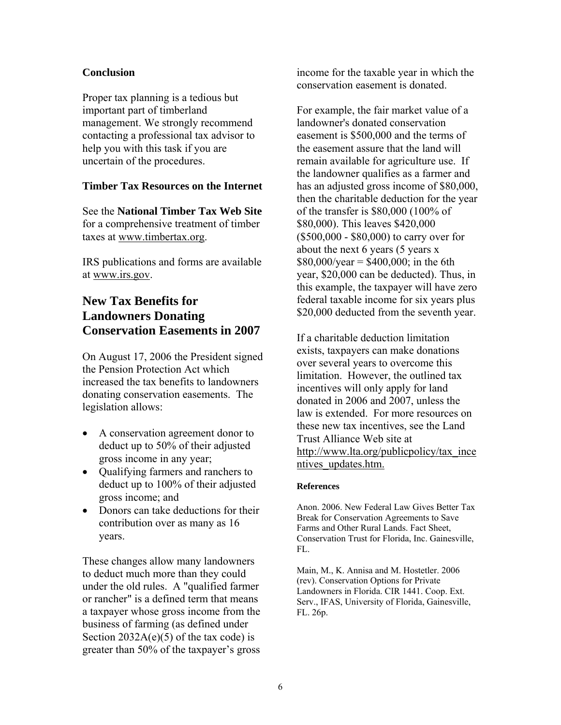## **Conclusion**

Proper tax planning is a tedious but important part of timberland management. We strongly recommend contacting a professional tax advisor to help you with this task if you are uncertain of the procedures.

## **Timber Tax Resources on the Internet**

See the **National Timber Tax Web Site** for a comprehensive treatment of timber taxes at www.timbertax.org.

IRS publications and forms are available at www.irs.gov.

# **New Tax Benefits for Landowners Donating Conservation Easements in 2007**

On August 17, 2006 the President signed the Pension Protection Act which increased the tax benefits to landowners donating conservation easements. The legislation allows:

- A conservation agreement donor to deduct up to 50% of their adjusted gross income in any year;
- Qualifying farmers and ranchers to deduct up to 100% of their adjusted gross income; and
- Donors can take deductions for their contribution over as many as 16 years.

These changes allow many landowners to deduct much more than they could under the old rules. A "qualified farmer or rancher" is a defined term that means a taxpayer whose gross income from the business of farming (as defined under Section  $2032A(e)(5)$  of the tax code) is greater than 50% of the taxpayer's gross

income for the taxable year in which the conservation easement is donated.

For example, the fair market value of a landowner's donated conservation easement is \$500,000 and the terms of the easement assure that the land will remain available for agriculture use. If the landowner qualifies as a farmer and has an adjusted gross income of \$80,000, then the charitable deduction for the year of the transfer is \$80,000 (100% of \$80,000). This leaves \$420,000 (\$500,000 - \$80,000) to carry over for about the next 6 years (5 years x  $$80,000/\text{year} = $400,000$ ; in the 6th year, \$20,000 can be deducted). Thus, in this example, the taxpayer will have zero federal taxable income for six years plus \$20,000 deducted from the seventh year.

If a charitable deduction limitation exists, taxpayers can make donations over several years to overcome this limitation. However, the outlined tax incentives will only apply for land donated in 2006 and 2007, unless the law is extended. For more resources on these new tax incentives, see the Land Trust Alliance Web site at http://www.lta.org/publicpolicy/tax\_ince ntives\_updates.htm.

#### **References**

Anon. 2006. New Federal Law Gives Better Tax Break for Conservation Agreements to Save Farms and Other Rural Lands. Fact Sheet, Conservation Trust for Florida, Inc. Gainesville, FL.

Main, M., K. Annisa and M. Hostetler. 2006 (rev). Conservation Options for Private Landowners in Florida. CIR 1441. Coop. Ext. Serv., IFAS, University of Florida, Gainesville, FL. 26p.